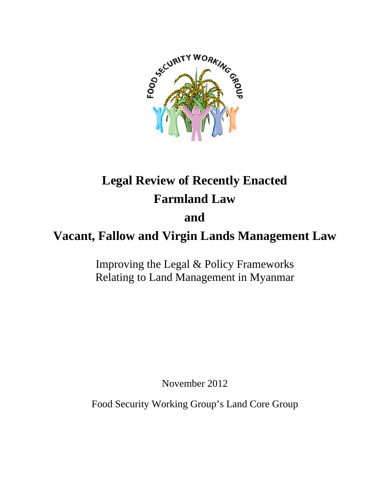

# **Legal Review of Recently Enacted Farmland Law**

# **and**

# **Vacant, Fallow and Virgin Lands Management Law**

Improving the Legal & Policy Frameworks Relating to Land Management in Myanmar

November 2012

Food Security Working Group's Land Core Group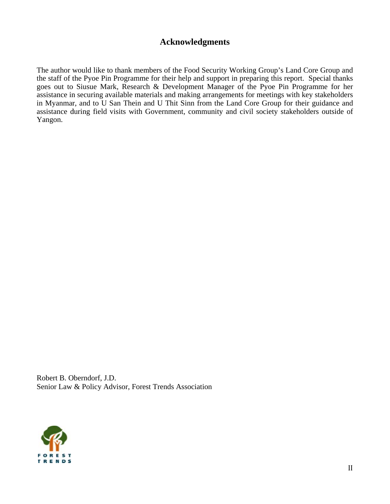### Acknowledgments

The author would like to thank members of the Food Security Working Group's Land Core Group and the staff of the Pyoe Pin Programme for their help and support in preparing this report. Special thanks goes out to Siusue Mark, Research & Development Manager of the Pyoe Pin Programme for her assistance in securing available materials and making arrangements for meetings with key stakeholders in Myanmar, and to U San Thein and U Thit Sinn from the Land Core Group for their guidance and assistance during field visits with Government, community and civil society stakeholders outside of Yangon.

Robert B. Oberndorf, J.D. Senior Law & Policy Advisor, Forest Trends Association

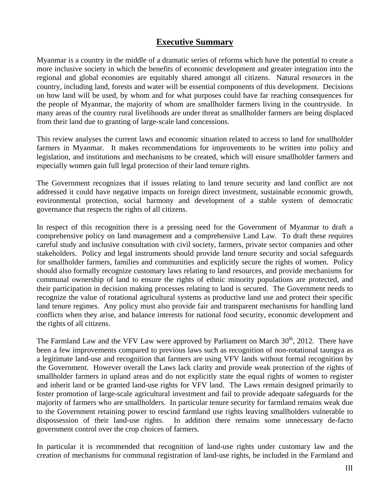#### **Executive Summary**

Myanmar is a country in the middle of a dramatic series of reforms which have the potential to create a more inclusive society in which the benefits of economic development and greater integration into the regional and global economies are equitably shared amongst all citizens. Natural resources in the country, including land, forests and water will be essential components of this development. Decisions on how land will be used, by whom and for what purposes could have far reaching consequences for the people of Myanmar, the majority of whom are smallholder farmers living in the countryside. In many areas of the country rural livelihoods are under threat as smallholder farmers are being displaced from their land due to granting of large-scale land concessions.

This review analyses the current laws and economic situation related to access to land for smallholder farmers in Myanmar. It makes recommendations for improvements to be written into policy and legislation, and institutions and mechanisms to be created, which will ensure smallholder farmers and especially women gain full legal protection of their land tenure rights.

The Government recognizes that if issues relating to land tenure security and land conflict are not addressed it could have negative impacts on foreign direct investment, sustainable economic growth, environmental protection, social harmony and development of a stable system of democratic governance that respects the rights of all citizens.

In respect of this recognition there is a pressing need for the Government of Myanmar to draft a comprehensive policy on land management and a comprehensive Land Law. To draft these requires careful study and inclusive consultation with civil society, farmers, private sector companies and other stakeholders. Policy and legal instruments should provide land tenure security and social safeguards for smallholder farmers, families and communities and explicitly secure the rights of women. Policy should also formally recognize customary laws relating to land resources, and provide mechanisms for communal ownership of land to ensure the rights of ethnic minority populations are protected, and their participation in decision making processes relating to land is secured. The Government needs to recognize the value of rotational agricultural systems as productive land use and protect their specific land tenure regimes. Any policy must also provide fair and transparent mechanisms for handling land conflicts when they arise, and balance interests for national food security, economic development and the rights of all citizens.

The Farmland Law and the VFV Law were approved by Parliament on March  $30<sup>th</sup>$ , 2012. There have been a few improvements compared to previous laws such as recognition of non-rotational taungya as a legitimate land-use and recognition that farmers are using VFV lands without formal recognition by the Government. However overall the Laws lack clarity and provide weak protection of the rights of smallholder farmers in upland areas and do not explicitly state the equal rights of women to register and inherit land or be granted land-use rights for VFV land. The Laws remain designed primarily to foster promotion of large-scale agricultural investment and fail to provide adequate safeguards for the majority of farmers who are smallholders. In particular tenure security for farmland remains weak due to the Government retaining power to rescind farmland use rights leaving smallholders vulnerable to dispossession of their land-use rights. In addition there remains some unnecessary de-facto government control over the crop choices of farmers.

In particular it is recommended that recognition of land-use rights under customary law and the creation of mechanisms for communal registration of land-use rights, be included in the Farmland and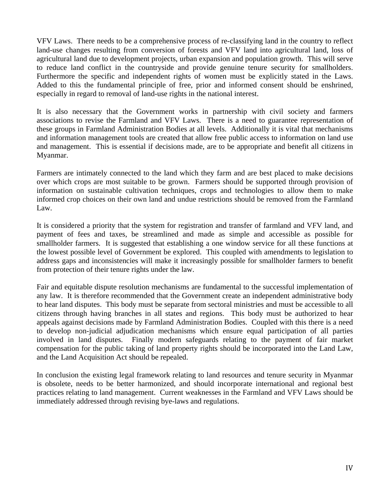VFV Laws. There needs to be a comprehensive process of re-classifying land in the country to reflect land-use changes resulting from conversion of forests and VFV land into agricultural land, loss of agricultural land due to development projects, urban expansion and population growth. This will serve to reduce land conflict in the countryside and provide genuine tenure security for smallholders. Furthermore the specific and independent rights of women must be explicitly stated in the Laws. Added to this the fundamental principle of free, prior and informed consent should be enshrined, especially in regard to removal of land-use rights in the national interest.

It is also necessary that the Government works in partnership with civil society and farmers associations to revise the Farmland and VFV Laws. There is a need to guarantee representation of these groups in Farmland Administration Bodies at all levels. Additionally it is vital that mechanisms and information management tools are created that allow free public access to information on land use and management. This is essential if decisions made, are to be appropriate and benefit all citizens in Myanmar.

Farmers are intimately connected to the land which they farm and are best placed to make decisions over which crops are most suitable to be grown. Farmers should be supported through provision of information on sustainable cultivation techniques, crops and technologies to allow them to make informed crop choices on their own land and undue restrictions should be removed from the Farmland Law.

It is considered a priority that the system for registration and transfer of farmland and VFV land, and payment of fees and taxes, be streamlined and made as simple and accessible as possible for smallholder farmers. It is suggested that establishing a one window service for all these functions at the lowest possible level of Government be explored. This coupled with amendments to legislation to address gaps and inconsistencies will make it increasingly possible for smallholder farmers to benefit from protection of their tenure rights under the law.

Fair and equitable dispute resolution mechanisms are fundamental to the successful implementation of any law. It is therefore recommended that the Government create an independent administrative body to hear land disputes. This body must be separate from sectoral ministries and must be accessible to all citizens through having branches in all states and regions. This body must be authorized to hear appeals against decisions made by Farmland Administration Bodies. Coupled with this there is a need to develop non-judicial adjudication mechanisms which ensure equal participation of all parties involved in land disputes. Finally modern safeguards relating to the payment of fair market compensation for the public taking of land property rights should be incorporated into the Land Law, and the Land Acquisition Act should be repealed.

In conclusion the existing legal framework relating to land resources and tenure security in Myanmar is obsolete, needs to be better harmonized, and should incorporate international and regional best practices relating to land management. Current weaknesses in the Farmland and VFV Laws should be immediately addressed through revising bye-laws and regulations.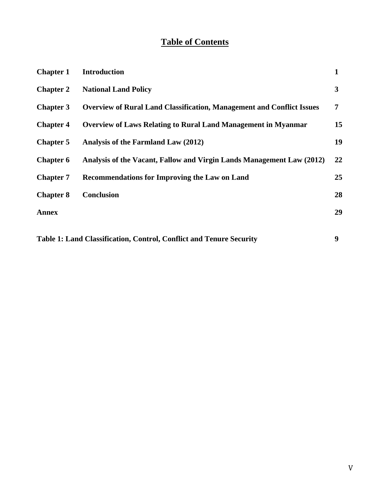# **Table of Contents**

| <b>Chapter 1</b> | <b>Introduction</b>                                                          | $\mathbf{1}$ |
|------------------|------------------------------------------------------------------------------|--------------|
| <b>Chapter 2</b> | <b>National Land Policy</b>                                                  | 3            |
| <b>Chapter 3</b> | <b>Overview of Rural Land Classification, Management and Conflict Issues</b> | 7            |
| <b>Chapter 4</b> | <b>Overview of Laws Relating to Rural Land Management in Myanmar</b>         | 15           |
| <b>Chapter 5</b> | Analysis of the Farmland Law (2012)                                          | 19           |
| <b>Chapter 6</b> | Analysis of the Vacant, Fallow and Virgin Lands Management Law (2012)        | 22           |
| <b>Chapter 7</b> | <b>Recommendations for Improving the Law on Land</b>                         | 25           |
| <b>Chapter 8</b> | <b>Conclusion</b>                                                            | 28           |
| <b>Annex</b>     |                                                                              | 29           |
|                  |                                                                              |              |

**Table 1: Land Classification, Control, Conflict and Tenure Security 9**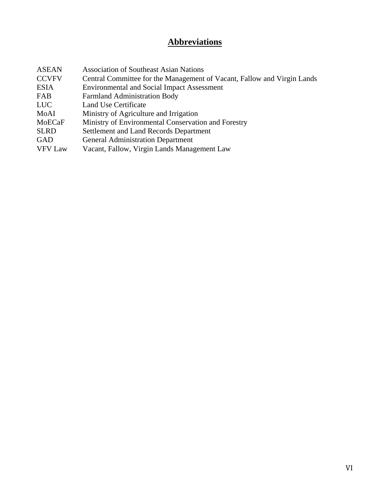# **Abbreviations**

| <b>Association of Southeast Asian Nations</b>                           |
|-------------------------------------------------------------------------|
| Central Committee for the Management of Vacant, Fallow and Virgin Lands |
| <b>Environmental and Social Impact Assessment</b>                       |
| <b>Farmland Administration Body</b>                                     |
| Land Use Certificate                                                    |
| Ministry of Agriculture and Irrigation                                  |
| Ministry of Environmental Conservation and Forestry                     |
| Settlement and Land Records Department                                  |
| <b>General Administration Department</b>                                |
| Vacant, Fallow, Virgin Lands Management Law                             |
|                                                                         |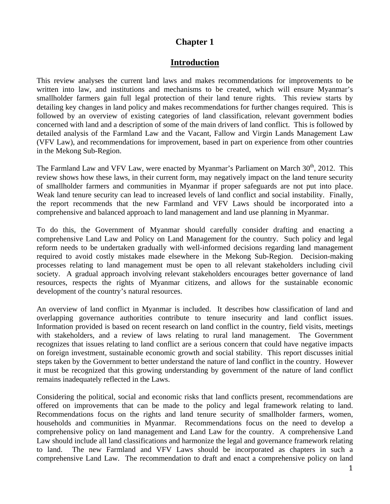#### **Introduction**

This review analyses the current land laws and makes recommendations for improvements to be written into law, and institutions and mechanisms to be created, which will ensure Myanmar's smallholder farmers gain full legal protection of their land tenure rights. This review starts by detailing key changes in land policy and makes recommendations for further changes required. This is followed by an overview of existing categories of land classification, relevant government bodies concerned with land and a description of some of the main drivers of land conflict. This is followed by detailed analysis of the Farmland Law and the Vacant, Fallow and Virgin Lands Management Law (VFV Law), and recommendations for improvement, based in part on experience from other countries in the Mekong Sub-Region.

The Farmland Law and VFV Law, were enacted by Myanmar's Parliament on March  $30<sup>th</sup>$ , 2012. This review shows how these laws, in their current form, may negatively impact on the land tenure security of smallholder farmers and communities in Myanmar if proper safeguards are not put into place. Weak land tenure security can lead to increased levels of land conflict and social instability. Finally, the report recommends that the new Farmland and VFV Laws should be incorporated into a comprehensive and balanced approach to land management and land use planning in Myanmar.

To do this, the Government of Myanmar should carefully consider drafting and enacting a comprehensive Land Law and Policy on Land Management for the country. Such policy and legal reform needs to be undertaken gradually with well-informed decisions regarding land management required to avoid costly mistakes made elsewhere in the Mekong Sub-Region. Decision-making processes relating to land management must be open to all relevant stakeholders including civil society. A gradual approach involving relevant stakeholders encourages better governance of land resources, respects the rights of Myanmar citizens, and allows for the sustainable economic development of the country's natural resources.

An overview of land conflict in Myanmar is included. It describes how classification of land and overlapping governance authorities contribute to tenure insecurity and land conflict issues. Information provided is based on recent research on land conflict in the country, field visits, meetings with stakeholders, and a review of laws relating to rural land management. The Government recognizes that issues relating to land conflict are a serious concern that could have negative impacts on foreign investment, sustainable economic growth and social stability. This report discusses initial steps taken by the Government to better understand the nature of land conflict in the country. However it must be recognized that this growing understanding by government of the nature of land conflict remains inadequately reflected in the Laws.

Considering the political, social and economic risks that land conflicts present, recommendations are offered on improvements that can be made to the policy and legal framework relating to land. Recommendations focus on the rights and land tenure security of smallholder farmers, women, households and communities in Myanmar. Recommendations focus on the need to develop a comprehensive policy on land management and Land Law for the country. A comprehensive Land Law should include all land classifications and harmonize the legal and governance framework relating to land. The new Farmland and VFV Laws should be incorporated as chapters in such a comprehensive Land Law. The recommendation to draft and enact a comprehensive policy on land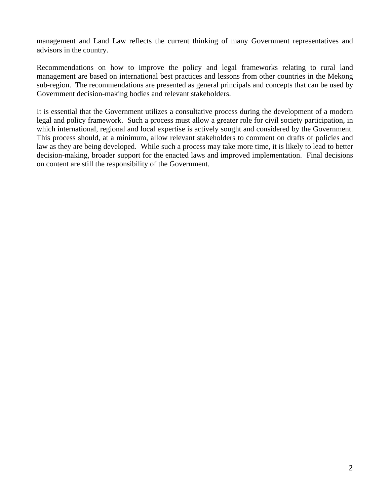management and Land Law reflects the current thinking of many Government representatives and advisors in the country.

Recommendations on how to improve the policy and legal frameworks relating to rural land management are based on international best practices and lessons from other countries in the Mekong sub-region. The recommendations are presented as general principals and concepts that can be used by Government decision-making bodies and relevant stakeholders.

It is essential that the Government utilizes a consultative process during the development of a modern legal and policy framework. Such a process must allow a greater role for civil society participation, in which international, regional and local expertise is actively sought and considered by the Government. This process should, at a minimum, allow relevant stakeholders to comment on drafts of policies and law as they are being developed. While such a process may take more time, it is likely to lead to better decision-making, broader support for the enacted laws and improved implementation. Final decisions on content are still the responsibility of the Government.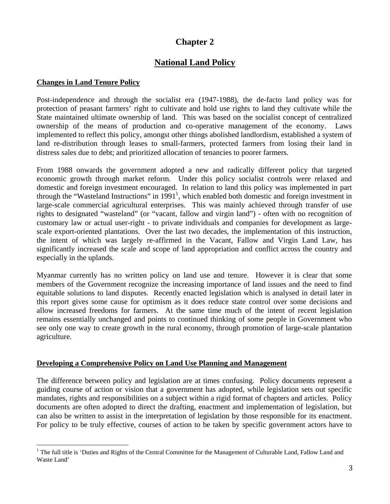# **National Land Policy**

#### **Changes in Land Tenure Policy**

Post-independence and through the socialist era (1947-1988), the de-facto land policy was for protection of peasant farmers' right to cultivate and hold use rights to land they cultivate while the State maintained ultimate ownership of land. This was based on the socialist concept of centralized ownership of the means of production and co-operative management of the economy. Laws implemented to reflect this policy, amongst other things abolished landlordism, established a system of land re-distribution through leases to small-farmers, protected farmers from losing their land in distress sales due to debt; and prioritized allocation of tenancies to poorer farmers.

From 1988 onwards the government adopted a new and radically different policy that targeted economic growth through market reform. Under this policy socialist controls were relaxed and domestic and foreign investment encouraged. In relation to land this policy was implemented in part through the "Wasteland Instructions" in  $1991<sup>1</sup>$ , which enabled both domestic and foreign investment in large-scale commercial agricultural enterprises. This was mainly achieved through transfer of use rights to designated "wasteland" (or "vacant, fallow and virgin land") - often with no recognition of customary law or actual user-right - to private individuals and companies for development as largescale export-oriented plantations. Over the last two decades, the implementation of this instruction, the intent of which was largely re-affirmed in the Vacant, Fallow and Virgin Land Law, has significantly increased the scale and scope of land appropriation and conflict across the country and especially in the uplands.

Myanmar currently has no written policy on land use and tenure. However it is clear that some members of the Government recognize the increasing importance of land issues and the need to find equitable solutions to land disputes. Recently enacted legislation which is analysed in detail later in this report gives some cause for optimism as it does reduce state control over some decisions and allow increased freedoms for farmers. At the same time much of the intent of recent legislation remains essentially unchanged and points to continued thinking of some people in Government who see only one way to create growth in the rural economy, through promotion of large-scale plantation agriculture.

#### **Developing a Comprehensive Policy on Land Use Planning and Management**

The difference between policy and legislation are at times confusing. Policy documents represent a guiding course of action or vision that a government has adopted, while legislation sets out specific mandates, rights and responsibilities on a subject within a rigid format of chapters and articles. Policy documents are often adopted to direct the drafting, enactment and implementation of legislation, but can also be written to assist in the interpretation of legislation by those responsible for its enactment. For policy to be truly effective, courses of action to be taken by specific government actors have to

<sup>&</sup>lt;sup>1</sup> The full title is 'Duties and Rights of the Central Committee for the Management of Culturable Land, Fallow Land and Waste Land'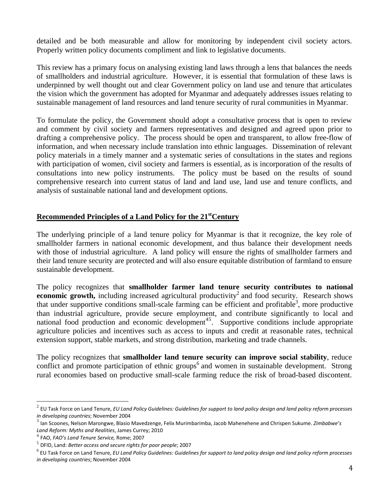detailed and be both measurable and allow for monitoring by independent civil society actors. Properly written policy documents compliment and link to legislative documents.

This review has a primary focus on analysing existing land laws through a lens that balances the needs of smallholders and industrial agriculture. However, it is essential that formulation of these laws is underpinned by well thought out and clear Government policy on land use and tenure that articulates the vision which the government has adopted for Myanmar and adequately addresses issues relating to sustainable management of land resources and land tenure security of rural communities in Myanmar.

To formulate the policy, the Government should adopt a consultative process that is open to review and comment by civil society and farmers representatives and designed and agreed upon prior to drafting a comprehensive policy. The process should be open and transparent, to allow free-flow of information, and when necessary include translation into ethnic languages. Dissemination of relevant policy materials in a timely manner and a systematic series of consultations in the states and regions with participation of women, civil society and farmers is essential, as is incorporation of the results of consultations into new policy instruments. The policy must be based on the results of sound comprehensive research into current status of land and land use, land use and tenure conflicts, and analysis of sustainable national land and development options.

#### **Recommended Principles of a Land Policy for the 21<sup>st</sup>Century**

The underlying principle of a land tenure policy for Myanmar is that it recognize, the key role of smallholder farmers in national economic development, and thus balance their development needs with those of industrial agriculture. A land policy will ensure the rights of smallholder farmers and their land tenure security are protected and will also ensure equitable distribution of farmland to ensure sustainable development.

The policy recognizes that **smallholder farmer land tenure security contributes to national economic growth,** including increased agricultural productivity<sup>2</sup> and food security. Research shows that under supportive conditions small-scale farming can be efficient and profitable<sup>3</sup>, more productive than industrial agriculture, provide secure employment, and contribute significantly to local and national food production and economic development<sup>45</sup>. Supportive conditions include appropriate agriculture policies and incentives such as access to inputs and credit at reasonable rates, technical extension support, stable markets, and strong distribution, marketing and trade channels.

The policy recognizes that **smallholder land tenure security can improve social stability**, reduce conflict and promote participation of ethnic groups<sup>6</sup> and women in sustainable development. Strong rural economies based on productive small-scale farming reduce the risk of broad-based discontent.

<sup>2</sup> EU Task Force on Land Tenure, *EU Land Policy Guidelines: Guidelines for support to land policy design and land policy reform processes in developing countries*; November 2004<br><sup>3</sup> Ian Scoones, Nelson Marongwe, Blasio Mavedzenge, Felix Murimbarimba, Jacob Mahenehene and Chrispen Sukume. *Zimbabwe's* 

*Land Reform: Myths and Realities*, James Currey; 2010<br><sup>4</sup> FAO, *FAO's Land Tenure Service, Rome; 2007*<br><sup>5</sup> DFID, Land: *Better access and secure rights for poor people*; 2007

EU Task Force on Land Tenure, *EU Land Policy Guidelines: Guidelines for support to land policy design and land policy reform processes in developing countries*; November 2004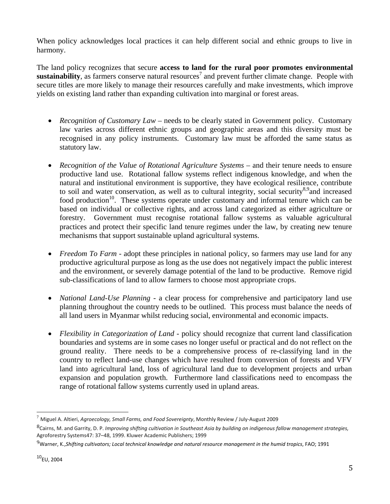When policy acknowledges local practices it can help different social and ethnic groups to live in harmony.

The land policy recognizes that secure **access to land for the rural poor promotes environmental**   $s$ ustainability, as farmers conserve natural resources<sup>7</sup> and prevent further climate change. People with secure titles are more likely to manage their resources carefully and make investments, which improve yields on existing land rather than expanding cultivation into marginal or forest areas.

- *Recognition of Customary Law* needs to be clearly stated in Government policy. Customary law varies across different ethnic groups and geographic areas and this diversity must be recognised in any policy instruments. Customary law must be afforded the same status as statutory law.
- *Recognition of the Value of Rotational Agriculture Systems* and their tenure needs to ensure productive land use. Rotational fallow systems reflect indigenous knowledge, and when the natural and institutional environment is supportive, they have ecological resilience, contribute to soil and water conservation, as well as to cultural integrity, social security<sup>8,9</sup>and increased food production<sup>10</sup>. These systems operate under customary and informal tenure which can be based on individual or collective rights, and across land categorized as either agriculture or forestry. Government must recognise rotational fallow systems as valuable agricultural practices and protect their specific land tenure regimes under the law, by creating new tenure mechanisms that support sustainable upland agricultural systems.
- *Freedom To Farm* adopt these principles in national policy, so farmers may use land for any productive agricultural purpose as long as the use does not negatively impact the public interest and the environment, or severely damage potential of the land to be productive. Remove rigid sub-classifications of land to allow farmers to choose most appropriate crops.
- *National Land-Use Planning* a clear process for comprehensive and participatory land use planning throughout the country needs to be outlined. This process must balance the needs of all land users in Myanmar whilst reducing social, environmental and economic impacts.
- *Flexibility in Categorization of Land* policy should recognize that current land classification boundaries and systems are in some cases no longer useful or practical and do not reflect on the ground reality. There needs to be a comprehensive process of re-classifying land in the country to reflect land-use changes which have resulted from conversion of forests and VFV land into agricultural land, loss of agricultural land due to development projects and urban expansion and population growth. Furthermore land classifications need to encompass the range of rotational fallow systems currently used in upland areas.

<sup>7</sup> Miguel A. Altieri, *Agroecology, Small Farms, and Food Sovereignty*, Monthly Review / July-August 2009

<sup>8</sup>Cairns, M. and Garrity, D. P. *Improving shifting cultivation in Southeast Asia by building on indigenous fallow management strategies,*  Agroforestry Systems47: 37–48, 1999. Kluwer Academic Publishers; 1999

<sup>9</sup>Warner, K.,*Shifting cultivators; Local technical knowledge and natural resource management in the humid tropics*, FAO; 1991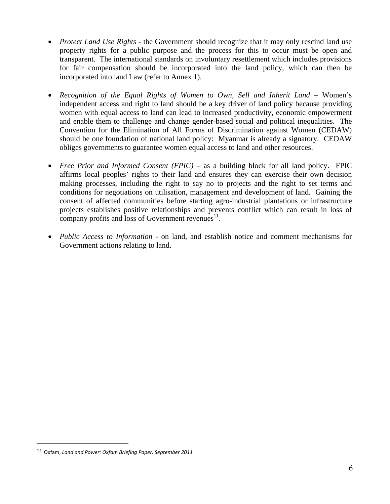- *Protect Land Use Rights* the Government should recognize that it may only rescind land use property rights for a public purpose and the process for this to occur must be open and transparent. The international standards on involuntary resettlement which includes provisions for fair compensation should be incorporated into the land policy, which can then be incorporated into land Law (refer to Annex 1).
- *Recognition of the Equal Rights of Women to Own, Sell and Inherit Land Women's* independent access and right to land should be a key driver of land policy because providing women with equal access to land can lead to increased productivity, economic empowerment and enable them to challenge and change gender-based social and political inequalities. The Convention for the Elimination of All Forms of Discrimination against Women (CEDAW) should be one foundation of national land policy: Myanmar is already a signatory. CEDAW obliges governments to guarantee women equal access to land and other resources.
- *Free Prior and Informed Consent (FPIC)* as a building block for all land policy. FPIC affirms local peoples' rights to their land and ensures they can exercise their own decision making processes, including the right to say no to projects and the right to set terms and conditions for negotiations on utilisation, management and development of land. Gaining the consent of affected communities before starting agro-industrial plantations or infrastructure projects establishes positive relationships and prevents conflict which can result in loss of company profits and loss of Government revenues $^{11}$ .
- *Public Access to Information* on land, and establish notice and comment mechanisms for Government actions relating to land.

<sup>11</sup> Oxfam, *Land and Power: Oxfam Briefing Paper, September 2011*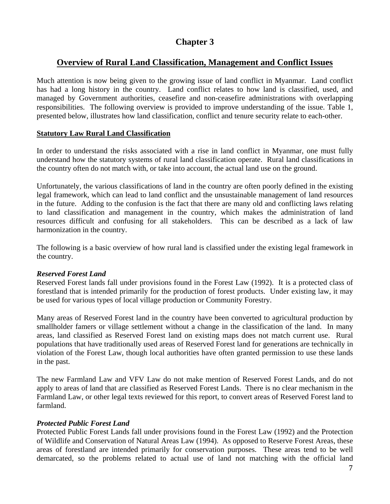# **Overview of Rural Land Classification, Management and Conflict Issues**

Much attention is now being given to the growing issue of land conflict in Myanmar. Land conflict has had a long history in the country. Land conflict relates to how land is classified, used, and managed by Government authorities, ceasefire and non-ceasefire administrations with overlapping responsibilities. The following overview is provided to improve understanding of the issue. Table 1, presented below, illustrates how land classification, conflict and tenure security relate to each-other.

#### **Statutory Law Rural Land Classification**

In order to understand the risks associated with a rise in land conflict in Myanmar, one must fully understand how the statutory systems of rural land classification operate. Rural land classifications in the country often do not match with, or take into account, the actual land use on the ground.

Unfortunately, the various classifications of land in the country are often poorly defined in the existing legal framework, which can lead to land conflict and the unsustainable management of land resources in the future. Adding to the confusion is the fact that there are many old and conflicting laws relating to land classification and management in the country, which makes the administration of land resources difficult and confusing for all stakeholders. This can be described as a lack of law harmonization in the country.

The following is a basic overview of how rural land is classified under the existing legal framework in the country.

#### *Reserved Forest Land*

Reserved Forest lands fall under provisions found in the Forest Law (1992). It is a protected class of forestland that is intended primarily for the production of forest products. Under existing law, it may be used for various types of local village production or Community Forestry.

Many areas of Reserved Forest land in the country have been converted to agricultural production by smallholder famers or village settlement without a change in the classification of the land. In many areas, land classified as Reserved Forest land on existing maps does not match current use. Rural populations that have traditionally used areas of Reserved Forest land for generations are technically in violation of the Forest Law, though local authorities have often granted permission to use these lands in the past.

The new Farmland Law and VFV Law do not make mention of Reserved Forest Lands, and do not apply to areas of land that are classified as Reserved Forest Lands. There is no clear mechanism in the Farmland Law, or other legal texts reviewed for this report, to convert areas of Reserved Forest land to farmland.

#### *Protected Public Forest Land*

Protected Public Forest Lands fall under provisions found in the Forest Law (1992) and the Protection of Wildlife and Conservation of Natural Areas Law (1994). As opposed to Reserve Forest Areas, these areas of forestland are intended primarily for conservation purposes. These areas tend to be well demarcated, so the problems related to actual use of land not matching with the official land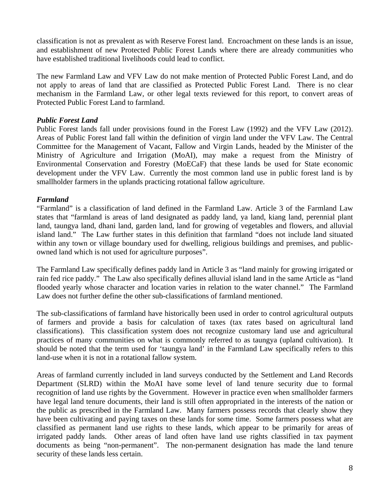classification is not as prevalent as with Reserve Forest land. Encroachment on these lands is an issue, and establishment of new Protected Public Forest Lands where there are already communities who have established traditional livelihoods could lead to conflict.

The new Farmland Law and VFV Law do not make mention of Protected Public Forest Land, and do not apply to areas of land that are classified as Protected Public Forest Land. There is no clear mechanism in the Farmland Law, or other legal texts reviewed for this report, to convert areas of Protected Public Forest Land to farmland.

#### *Public Forest Land*

Public Forest lands fall under provisions found in the Forest Law (1992) and the VFV Law (2012). Areas of Public Forest land fall within the definition of virgin land under the VFV Law. The Central Committee for the Management of Vacant, Fallow and Virgin Lands, headed by the Minister of the Ministry of Agriculture and Irrigation (MoAI), may make a request from the Ministry of Environmental Conservation and Forestry (MoECaF) that these lands be used for State economic development under the VFV Law. Currently the most common land use in public forest land is by smallholder farmers in the uplands practicing rotational fallow agriculture.

#### *Farmland*

"Farmland" is a classification of land defined in the Farmland Law. Article 3 of the Farmland Law states that "farmland is areas of land designated as paddy land, ya land, kiang land, perennial plant land, taungya land, dhani land, garden land, land for growing of vegetables and flowers, and alluvial island land." The Law further states in this definition that farmland "does not include land situated within any town or village boundary used for dwelling, religious buildings and premises, and publicowned land which is not used for agriculture purposes".

The Farmland Law specifically defines paddy land in Article 3 as "land mainly for growing irrigated or rain fed rice paddy." The Law also specifically defines alluvial island land in the same Article as "land flooded yearly whose character and location varies in relation to the water channel." The Farmland Law does not further define the other sub-classifications of farmland mentioned.

The sub-classifications of farmland have historically been used in order to control agricultural outputs of farmers and provide a basis for calculation of taxes (tax rates based on agricultural land classifications). This classification system does not recognize customary land use and agricultural practices of many communities on what is commonly referred to as taungya (upland cultivation). It should be noted that the term used for 'taungya land' in the Farmland Law specifically refers to this land-use when it is not in a rotational fallow system.

Areas of farmland currently included in land surveys conducted by the Settlement and Land Records Department (SLRD) within the MoAI have some level of land tenure security due to formal recognition of land use rights by the Government. However in practice even when smallholder farmers have legal land tenure documents, their land is still often appropriated in the interests of the nation or the public as prescribed in the Farmland Law. Many farmers possess records that clearly show they have been cultivating and paying taxes on these lands for some time. Some farmers possess what are classified as permanent land use rights to these lands, which appear to be primarily for areas of irrigated paddy lands. Other areas of land often have land use rights classified in tax payment documents as being "non-permanent". The non-permanent designation has made the land tenure security of these lands less certain.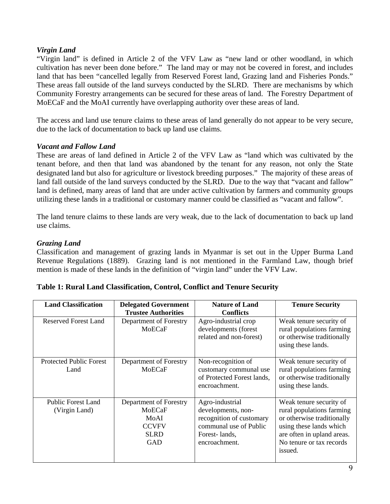#### *Virgin Land*

"Virgin land" is defined in Article 2 of the VFV Law as "new land or other woodland, in which cultivation has never been done before." The land may or may not be covered in forest, and includes land that has been "cancelled legally from Reserved Forest land, Grazing land and Fisheries Ponds." These areas fall outside of the land surveys conducted by the SLRD. There are mechanisms by which Community Forestry arrangements can be secured for these areas of land. The Forestry Department of MoECaF and the MoAI currently have overlapping authority over these areas of land.

The access and land use tenure claims to these areas of land generally do not appear to be very secure, due to the lack of documentation to back up land use claims.

#### *Vacant and Fallow Land*

These are areas of land defined in Article 2 of the VFV Law as "land which was cultivated by the tenant before, and then that land was abandoned by the tenant for any reason, not only the State designated land but also for agriculture or livestock breeding purposes." The majority of these areas of land fall outside of the land surveys conducted by the SLRD. Due to the way that "vacant and fallow" land is defined, many areas of land that are under active cultivation by farmers and community groups utilizing these lands in a traditional or customary manner could be classified as "vacant and fallow".

The land tenure claims to these lands are very weak, due to the lack of documentation to back up land use claims.

#### *Grazing Land*

Classification and management of grazing lands in Myanmar is set out in the Upper Burma Land Revenue Regulations (1889). Grazing land is not mentioned in the Farmland Law, though brief mention is made of these lands in the definition of "virgin land" under the VFV Law.

| <b>Land Classification</b>                 | <b>Delegated Government</b><br><b>Trustee Authorities</b>                             | <b>Nature of Land</b><br><b>Conflicts</b>                                                                                     | <b>Tenure Security</b>                                                                                                                                                             |
|--------------------------------------------|---------------------------------------------------------------------------------------|-------------------------------------------------------------------------------------------------------------------------------|------------------------------------------------------------------------------------------------------------------------------------------------------------------------------------|
| <b>Reserved Forest Land</b>                | Department of Forestry<br>MoECaF                                                      | Agro-industrial crop<br>developments (forest<br>related and non-forest)                                                       | Weak tenure security of<br>rural populations farming<br>or otherwise traditionally<br>using these lands.                                                                           |
| <b>Protected Public Forest</b><br>Land     | Department of Forestry<br>MoECaF                                                      | Non-recognition of<br>customary communal use<br>of Protected Forest lands,<br>encroachment.                                   | Weak tenure security of<br>rural populations farming<br>or otherwise traditionally<br>using these lands.                                                                           |
| <b>Public Forest Land</b><br>(Virgin Land) | Department of Forestry<br>MoECaF<br>MoAI<br><b>CCVFV</b><br><b>SLRD</b><br><b>GAD</b> | Agro-industrial<br>developments, non-<br>recognition of customary<br>communal use of Public<br>Forest-lands,<br>encroachment. | Weak tenure security of<br>rural populations farming<br>or otherwise traditionally<br>using these lands which<br>are often in upland areas.<br>No tenure or tax records<br>issued. |

|  | Table 1: Rural Land Classification, Control, Conflict and Tenure Security |
|--|---------------------------------------------------------------------------|
|--|---------------------------------------------------------------------------|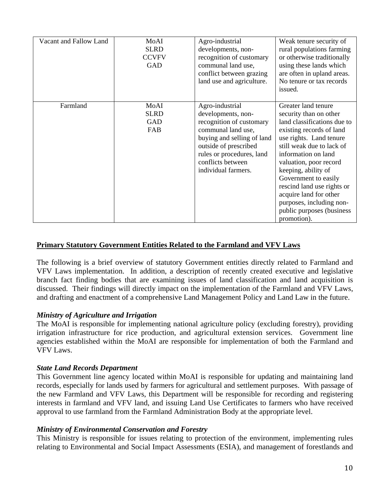| Vacant and Fallow Land | MoAI<br><b>SLRD</b><br><b>CCVFV</b><br><b>GAD</b> | Agro-industrial<br>developments, non-<br>recognition of customary<br>communal land use,<br>conflict between grazing<br>land use and agriculture.                                                                        | Weak tenure security of<br>rural populations farming<br>or otherwise traditionally<br>using these lands which<br>are often in upland areas.<br>No tenure or tax records<br>issued.                                                                                                                                                                                                               |
|------------------------|---------------------------------------------------|-------------------------------------------------------------------------------------------------------------------------------------------------------------------------------------------------------------------------|--------------------------------------------------------------------------------------------------------------------------------------------------------------------------------------------------------------------------------------------------------------------------------------------------------------------------------------------------------------------------------------------------|
| Farmland               | MoAI<br><b>SLRD</b><br><b>GAD</b><br>FAB          | Agro-industrial<br>developments, non-<br>recognition of customary<br>communal land use,<br>buying and selling of land<br>outside of prescribed<br>rules or procedures, land<br>conflicts between<br>individual farmers. | Greater land tenure<br>security than on other<br>land classifications due to<br>existing records of land<br>use rights. Land tenure<br>still weak due to lack of<br>information on land<br>valuation, poor record<br>keeping, ability of<br>Government to easily<br>rescind land use rights or<br>acquire land for other<br>purposes, including non-<br>public purposes (business<br>promotion). |

#### **Primary Statutory Government Entities Related to the Farmland and VFV Laws**

The following is a brief overview of statutory Government entities directly related to Farmland and VFV Laws implementation. In addition, a description of recently created executive and legislative branch fact finding bodies that are examining issues of land classification and land acquisition is discussed. Their findings will directly impact on the implementation of the Farmland and VFV Laws, and drafting and enactment of a comprehensive Land Management Policy and Land Law in the future.

#### *Ministry of Agriculture and Irrigation*

The MoAI is responsible for implementing national agriculture policy (excluding forestry), providing irrigation infrastructure for rice production, and agricultural extension services. Government line agencies established within the MoAI are responsible for implementation of both the Farmland and VFV Laws.

#### *State Land Records Department*

This Government line agency located within MoAI is responsible for updating and maintaining land records, especially for lands used by farmers for agricultural and settlement purposes. With passage of the new Farmland and VFV Laws, this Department will be responsible for recording and registering interests in farmland and VFV land, and issuing Land Use Certificates to farmers who have received approval to use farmland from the Farmland Administration Body at the appropriate level.

#### *Ministry of Environmental Conservation and Forestry*

This Ministry is responsible for issues relating to protection of the environment, implementing rules relating to Environmental and Social Impact Assessments (ESIA), and management of forestlands and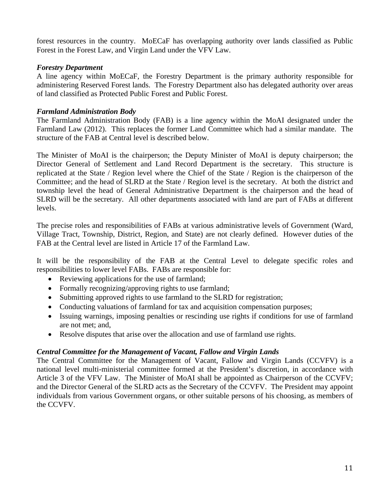forest resources in the country. MoECaF has overlapping authority over lands classified as Public Forest in the Forest Law, and Virgin Land under the VFV Law.

#### *Forestry Department*

A line agency within MoECaF, the Forestry Department is the primary authority responsible for administering Reserved Forest lands. The Forestry Department also has delegated authority over areas of land classified as Protected Public Forest and Public Forest.

#### *Farmland Administration Body*

The Farmland Administration Body (FAB) is a line agency within the MoAI designated under the Farmland Law (2012). This replaces the former Land Committee which had a similar mandate. The structure of the FAB at Central level is described below.

The Minister of MoAI is the chairperson; the Deputy Minister of MoAI is deputy chairperson; the Director General of Settlement and Land Record Department is the secretary. This structure is replicated at the State / Region level where the Chief of the State / Region is the chairperson of the Committee; and the head of SLRD at the State / Region level is the secretary. At both the district and township level the head of General Administrative Department is the chairperson and the head of SLRD will be the secretary. All other departments associated with land are part of FABs at different levels.

The precise roles and responsibilities of FABs at various administrative levels of Government (Ward, Village Tract, Township, District, Region, and State) are not clearly defined. However duties of the FAB at the Central level are listed in Article 17 of the Farmland Law.

It will be the responsibility of the FAB at the Central Level to delegate specific roles and responsibilities to lower level FABs. FABs are responsible for:

- Reviewing applications for the use of farmland;
- Formally recognizing/approving rights to use farmland;
- Submitting approved rights to use farmland to the SLRD for registration;
- Conducting valuations of farmland for tax and acquisition compensation purposes;
- Issuing warnings, imposing penalties or rescinding use rights if conditions for use of farmland are not met; and,
- Resolve disputes that arise over the allocation and use of farmland use rights.

#### *Central Committee for the Management of Vacant, Fallow and Virgin Lands*

The Central Committee for the Management of Vacant, Fallow and Virgin Lands (CCVFV) is a national level multi-ministerial committee formed at the President's discretion, in accordance with Article 3 of the VFV Law. The Minister of MoAI shall be appointed as Chairperson of the CCVFV; and the Director General of the SLRD acts as the Secretary of the CCVFV. The President may appoint individuals from various Government organs, or other suitable persons of his choosing, as members of the CCVFV.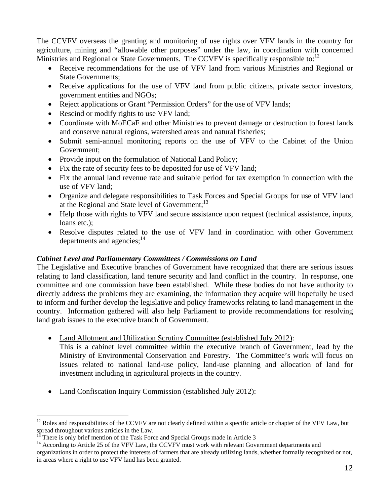The CCVFV overseas the granting and monitoring of use rights over VFV lands in the country for agriculture, mining and "allowable other purposes" under the law, in coordination with concerned Ministries and Regional or State Governments. The CCVFV is specifically responsible to:  $12$ 

- Receive recommendations for the use of VFV land from various Ministries and Regional or State Governments;
- Receive applications for the use of VFV land from public citizens, private sector investors, government entities and NGOs;
- Reject applications or Grant "Permission Orders" for the use of VFV lands;
- Rescind or modify rights to use VFV land;
- Coordinate with MoECaF and other Ministries to prevent damage or destruction to forest lands and conserve natural regions, watershed areas and natural fisheries;
- Submit semi-annual monitoring reports on the use of VFV to the Cabinet of the Union Government;
- Provide input on the formulation of National Land Policy;
- Fix the rate of security fees to be deposited for use of VFV land;
- Fix the annual land revenue rate and suitable period for tax exemption in connection with the use of VFV land;
- Organize and delegate responsibilities to Task Forces and Special Groups for use of VFV land at the Regional and State level of Government;<sup>13</sup>
- Help those with rights to VFV land secure assistance upon request (technical assistance, inputs, loans etc.):
- Resolve disputes related to the use of VFV land in coordination with other Government departments and agencies;<sup>14</sup>

#### *Cabinet Level and Parliamentary Committees / Commissions on Land*

The Legislative and Executive branches of Government have recognized that there are serious issues relating to land classification, land tenure security and land conflict in the country. In response, one committee and one commission have been established. While these bodies do not have authority to directly address the problems they are examining, the information they acquire will hopefully be used to inform and further develop the legislative and policy frameworks relating to land management in the country. Information gathered will also help Parliament to provide recommendations for resolving land grab issues to the executive branch of Government.

- Land Allotment and Utilization Scrutiny Committee (established July 2012): This is a cabinet level committee within the executive branch of Government, lead by the
	- Ministry of Environmental Conservation and Forestry. The Committee's work will focus on issues related to national land-use policy, land-use planning and allocation of land for investment including in agricultural projects in the country.
- Land Confiscation Inquiry Commission (established July 2012):

 $12$  Roles and responsibilities of the CCVFV are not clearly defined within a specific article or chapter of the VFV Law, but spread throughout various articles in the Law.

There is only brief mention of the Task Force and Special Groups made in Article 3

<sup>&</sup>lt;sup>14</sup> According to Article 25 of the VFV Law, the CCVFV must work with relevant Government departments and organizations in order to protect the interests of farmers that are already utilizing lands, whether formally recognized or not, in areas where a right to use VFV land has been granted.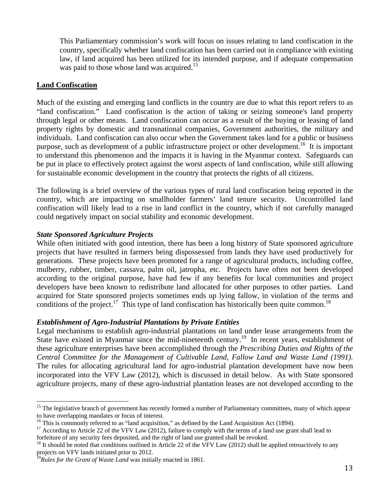This Parliamentary commission's work will focus on issues relating to land confiscation in the country, specifically whether land confiscation has been carried out in compliance with existing law, if land acquired has been utilized for its intended purpose, and if adequate compensation was paid to those whose land was acquired.<sup>15</sup>

#### **Land Confiscation**

Much of the existing and emerging land conflicts in the country are due to what this report refers to as "land confiscation." Land confiscation is the action of taking or seizing someone's land property through legal or other means. Land confiscation can occur as a result of the buying or leasing of land property rights by domestic and transnational companies, Government authorities, the military and individuals. Land confiscation can also occur when the Government takes land for a public or business purpose, such as development of a public infrastructure project or other development.<sup>16</sup> It is important to understand this phenomenon and the impacts it is having in the Myanmar context. Safeguards can be put in place to effectively protect against the worst aspects of land confiscation, while still allowing for sustainable economic development in the country that protects the rights of all citizens.

The following is a brief overview of the various types of rural land confiscation being reported in the country, which are impacting on smallholder farmers' land tenure security. Uncontrolled land confiscation will likely lead to a rise in land conflict in the country, which if not carefully managed could negatively impact on social stability and economic development.

#### *State Sponsored Agriculture Projects*

While often initiated with good intention, there has been a long history of State sponsored agriculture projects that have resulted in farmers being dispossessed from lands they have used productively for generations. These projects have been promoted for a range of agricultural products, including coffee, mulberry, rubber, timber, cassava, palm oil, jatropha, etc. Projects have often not been developed according to the original purpose, have had few if any benefits for local communities and project developers have been known to redistribute land allocated for other purposes to other parties. Land acquired for State sponsored projects sometimes ends up lying fallow, in violation of the terms and conditions of the project.<sup>17</sup> This type of land confiscation has historically been quite common.<sup>18</sup>

#### *Establishment of Agro-Industrial Plantations by Private Entities*

Legal mechanisms to establish agro-industrial plantations on land under lease arrangements from the State have existed in Myanmar since the mid-nineteenth century.<sup>19</sup> In recent years, establishment of these agriculture enterprises have been accomplished through the *Prescribing Duties and Rights of the Central Committee for the Management of Cultivable Land, Fallow Land and Waste Land (1991).*  The rules for allocating agricultural land for agro-industrial plantation development have now been incorporated into the VFV Law (2012), which is discussed in detail below. As with State sponsored agriculture projects, many of these agro-industrial plantation leases are not developed according to the

 $\overline{a}$ <sup>15</sup> The legislative branch of government has recently formed a number of Parliamentary committees, many of which appear to have overlapping mandates or focus of interest.<br><sup>16</sup> This is commonly referred to as "land acquisition," as defined by the Land Acquisition Act (1894).

<sup>&</sup>lt;sup>17</sup> According to Article 22 of the VFV Law (2012), failure to comply with the terms of a land use grant shall lead to forfeiture of any security fees deposited, and the right of land use granted shall be revoked.

 $^{18}$  It should be noted that conditions outlined in Article 22 of the VFV Law (2012) shall be applied retroactively to any projects on VFV lands initiated prior to 2012.

<sup>&</sup>lt;sup>19</sup>Rules for the Grant of Waste Land was initially enacted in 1861.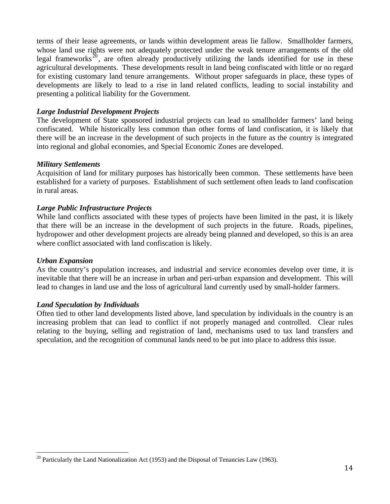terms of their lease agreements, or lands within development areas lie fallow. Smallholder farmers, whose land use rights were not adequately protected under the weak tenure arrangements of the old legal frameworks<sup> $20$ </sup>, are often already productively utilizing the lands identified for use in these agricultural developments. These developments result in land being confiscated with little or no regard for existing customary land tenure arrangements. Without proper safeguards in place, these types of developments are likely to lead to a rise in land related conflicts, leading to social instability and presenting a political liability for the Government.

#### *Large Industrial Development Projects*

The development of State sponsored industrial projects can lead to smallholder farmers' land being confiscated. While historically less common than other forms of land confiscation, it is likely that there will be an increase in the development of such projects in the future as the country is integrated into regional and global economies, and Special Economic Zones are developed.

#### *Military Settlements*

Acquisition of land for military purposes has historically been common. These settlements have been established for a variety of purposes. Establishment of such settlement often leads to land confiscation in rural areas.

#### *Large Public Infrastructure Projects*

While land conflicts associated with these types of projects have been limited in the past, it is likely that there will be an increase in the development of such projects in the future. Roads, pipelines, hydropower and other development projects are already being planned and developed, so this is an area where conflict associated with land confiscation is likely.

#### *Urban Expansion*

 $\overline{a}$ 

As the country's population increases, and industrial and service economies develop over time, it is inevitable that there will be an increase in urban and peri-urban expansion and development. This will lead to changes in land use and the loss of agricultural land currently used by small-holder farmers.

#### *Land Speculation by Individuals*

Often tied to other land developments listed above, land speculation by individuals in the country is an increasing problem that can lead to conflict if not properly managed and controlled. Clear rules relating to the buying, selling and registration of land, mechanisms used to tax land transfers and speculation, and the recognition of communal lands need to be put into place to address this issue.

<sup>&</sup>lt;sup>20</sup> Particularly the Land Nationalization Act (1953) and the Disposal of Tenancies Law (1963).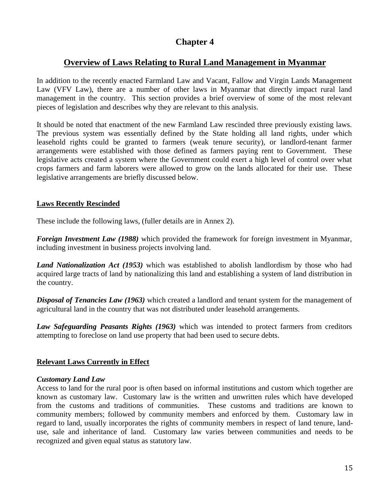# **Overview of Laws Relating to Rural Land Management in Myanmar**

In addition to the recently enacted Farmland Law and Vacant, Fallow and Virgin Lands Management Law (VFV Law), there are a number of other laws in Myanmar that directly impact rural land management in the country. This section provides a brief overview of some of the most relevant pieces of legislation and describes why they are relevant to this analysis.

It should be noted that enactment of the new Farmland Law rescinded three previously existing laws. The previous system was essentially defined by the State holding all land rights, under which leasehold rights could be granted to farmers (weak tenure security), or landlord-tenant farmer arrangements were established with those defined as farmers paying rent to Government. These legislative acts created a system where the Government could exert a high level of control over what crops farmers and farm laborers were allowed to grow on the lands allocated for their use. These legislative arrangements are briefly discussed below.

#### **Laws Recently Rescinded**

These include the following laws, (fuller details are in Annex 2).

*Foreign Investment Law (1988)* which provided the framework for foreign investment in Myanmar, including investment in business projects involving land.

*Land Nationalization Act (1953)* which was established to abolish landlordism by those who had acquired large tracts of land by nationalizing this land and establishing a system of land distribution in the country.

*Disposal of Tenancies Law (1963)* which created a landlord and tenant system for the management of agricultural land in the country that was not distributed under leasehold arrangements.

*Law Safeguarding Peasants Rights (1963)* which was intended to protect farmers from creditors attempting to foreclose on land use property that had been used to secure debts.

#### **Relevant Laws Currently in Effect**

#### *Customary Land Law*

Access to land for the rural poor is often based on informal institutions and custom which together are known as customary law. Customary law is the written and unwritten rules which have developed from the customs and traditions of communities. These customs and traditions are known to community members; followed by community members and enforced by them. Customary law in regard to land, usually incorporates the rights of community members in respect of land tenure, landuse, sale and inheritance of land. Customary law varies between communities and needs to be recognized and given equal status as statutory law.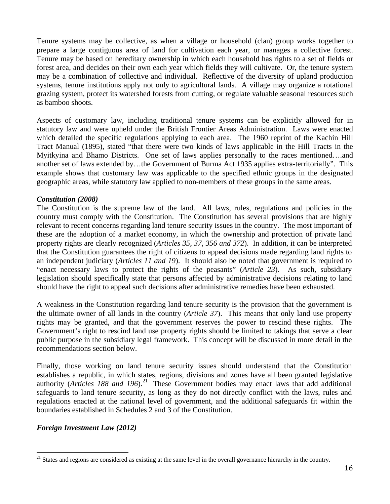Tenure systems may be collective, as when a village or household (clan) group works together to prepare a large contiguous area of land for cultivation each year, or manages a collective forest. Tenure may be based on hereditary ownership in which each household has rights to a set of fields or forest area, and decides on their own each year which fields they will cultivate. Or, the tenure system may be a combination of collective and individual. Reflective of the diversity of upland production systems, tenure institutions apply not only to agricultural lands. A village may organize a rotational grazing system, protect its watershed forests from cutting, or regulate valuable seasonal resources such as bamboo shoots.

Aspects of customary law, including traditional tenure systems can be explicitly allowed for in statutory law and were upheld under the British Frontier Areas Administration. Laws were enacted which detailed the specific regulations applying to each area. The 1960 reprint of the Kachin Hill Tract Manual (1895), stated "that there were two kinds of laws applicable in the Hill Tracts in the Myitkyina and Bhamo Districts. One set of laws applies personally to the races mentioned….and another set of laws extended by…the Government of Burma Act 1935 applies extra-territorially". This example shows that customary law was applicable to the specified ethnic groups in the designated geographic areas, while statutory law applied to non-members of these groups in the same areas.

#### *Constitution (2008)*

The Constitution is the supreme law of the land. All laws, rules, regulations and policies in the country must comply with the Constitution. The Constitution has several provisions that are highly relevant to recent concerns regarding land tenure security issues in the country. The most important of these are the adoption of a market economy, in which the ownership and protection of private land property rights are clearly recognized (*Articles 35, 37, 356 and 372*). In addition, it can be interpreted that the Constitution guarantees the right of citizens to appeal decisions made regarding land rights to an independent judiciary (*Articles 11 and 19*). It should also be noted that government is required to "enact necessary laws to protect the rights of the peasants" (*Article 23*). As such, subsidiary legislation should specifically state that persons affected by administrative decisions relating to land should have the right to appeal such decisions after administrative remedies have been exhausted.

A weakness in the Constitution regarding land tenure security is the provision that the government is the ultimate owner of all lands in the country (*Article 37*). This means that only land use property rights may be granted, and that the government reserves the power to rescind these rights. The Government's right to rescind land use property rights should be limited to takings that serve a clear public purpose in the subsidiary legal framework. This concept will be discussed in more detail in the recommendations section below.

Finally, those working on land tenure security issues should understand that the Constitution establishes a republic, in which states, regions, divisions and zones have all been granted legislative authority (*Articles 188 and 196*).<sup>21</sup> These Government bodies may enact laws that add additional safeguards to land tenure security, as long as they do not directly conflict with the laws, rules and regulations enacted at the national level of government, and the additional safeguards fit within the boundaries established in Schedules 2 and 3 of the Constitution.

#### *Foreign Investment Law (2012)*

 $\overline{a}$  $21$  States and regions are considered as existing at the same level in the overall governance hierarchy in the country.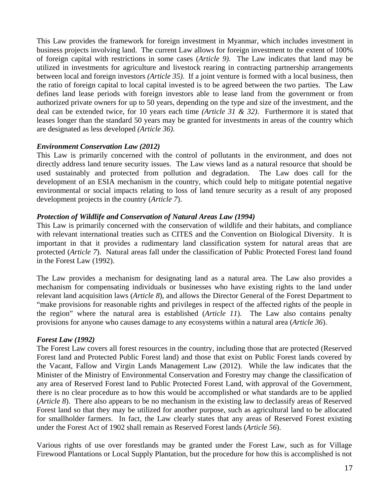This Law provides the framework for foreign investment in Myanmar, which includes investment in business projects involving land. The current Law allows for foreign investment to the extent of 100% of foreign capital with restrictions in some cases (*Article 9)*. The Law indicates that land may be utilized in investments for agriculture and livestock rearing in contracting partnership arrangements between local and foreign investors *(Article 35)*. If a joint venture is formed with a local business, then the ratio of foreign capital to local capital invested is to be agreed between the two parties. The Law defines land lease periods with foreign investors able to lease land from the government or from authorized private owners for up to 50 years, depending on the type and size of the investment, and the deal can be extended twice, for 10 years each time *(Article 31 & 32)*. Furthermore it is stated that leases longer than the standard 50 years may be granted for investments in areas of the country which are designated as less developed *(Article 36)*.

#### *Environment Conservation Law (2012)*

This Law is primarily concerned with the control of pollutants in the environment, and does not directly address land tenure security issues. The Law views land as a natural resource that should be used sustainably and protected from pollution and degradation. The Law does call for the development of an ESIA mechanism in the country, which could help to mitigate potential negative environmental or social impacts relating to loss of land tenure security as a result of any proposed development projects in the country (*Article 7*).

#### *Protection of Wildlife and Conservation of Natural Areas Law (1994)*

This Law is primarily concerned with the conservation of wildlife and their habitats, and compliance with relevant international treaties such as CITES and the Convention on Biological Diversity. It is important in that it provides a rudimentary land classification system for natural areas that are protected (*Article 7*). Natural areas fall under the classification of Public Protected Forest land found in the Forest Law (1992).

The Law provides a mechanism for designating land as a natural area. The Law also provides a mechanism for compensating individuals or businesses who have existing rights to the land under relevant land acquisition laws (*Article 8*), and allows the Director General of the Forest Department to "make provisions for reasonable rights and privileges in respect of the affected rights of the people in the region" where the natural area is established (*Article 11*). The Law also contains penalty provisions for anyone who causes damage to any ecosystems within a natural area (*Article 36*).

#### *Forest Law (1992)*

The Forest Law covers all forest resources in the country, including those that are protected (Reserved Forest land and Protected Public Forest land) and those that exist on Public Forest lands covered by the Vacant, Fallow and Virgin Lands Management Law (2012). While the law indicates that the Minister of the Ministry of Environmental Conservation and Forestry may change the classification of any area of Reserved Forest land to Public Protected Forest Land, with approval of the Government, there is no clear procedure as to how this would be accomplished or what standards are to be applied (*Article 8*). There also appears to be no mechanism in the existing law to declassify areas of Reserved Forest land so that they may be utilized for another purpose, such as agricultural land to be allocated for smallholder farmers. In fact, the Law clearly states that any areas of Reserved Forest existing under the Forest Act of 1902 shall remain as Reserved Forest lands (*Article 56*).

Various rights of use over forestlands may be granted under the Forest Law, such as for Village Firewood Plantations or Local Supply Plantation, but the procedure for how this is accomplished is not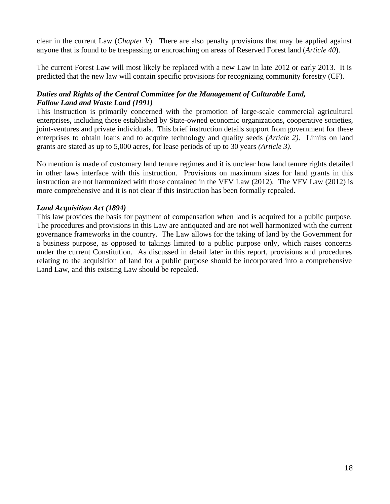clear in the current Law (*Chapter V*). There are also penalty provisions that may be applied against anyone that is found to be trespassing or encroaching on areas of Reserved Forest land (*Article 40*).

The current Forest Law will most likely be replaced with a new Law in late 2012 or early 2013. It is predicted that the new law will contain specific provisions for recognizing community forestry (CF).

#### *Duties and Rights of the Central Committee for the Management of Culturable Land, Fallow Land and Waste Land (1991)*

This instruction is primarily concerned with the promotion of large-scale commercial agricultural enterprises, including those established by State-owned economic organizations, cooperative societies, joint-ventures and private individuals. This brief instruction details support from government for these enterprises to obtain loans and to acquire technology and quality seeds *(Article 2)*. Limits on land grants are stated as up to 5,000 acres, for lease periods of up to 30 years *(Article 3)*.

No mention is made of customary land tenure regimes and it is unclear how land tenure rights detailed in other laws interface with this instruction. Provisions on maximum sizes for land grants in this instruction are not harmonized with those contained in the VFV Law (2012). The VFV Law (2012) is more comprehensive and it is not clear if this instruction has been formally repealed.

#### *Land Acquisition Act (1894)*

This law provides the basis for payment of compensation when land is acquired for a public purpose. The procedures and provisions in this Law are antiquated and are not well harmonized with the current governance frameworks in the country. The Law allows for the taking of land by the Government for a business purpose, as opposed to takings limited to a public purpose only, which raises concerns under the current Constitution. As discussed in detail later in this report, provisions and procedures relating to the acquisition of land for a public purpose should be incorporated into a comprehensive Land Law, and this existing Law should be repealed.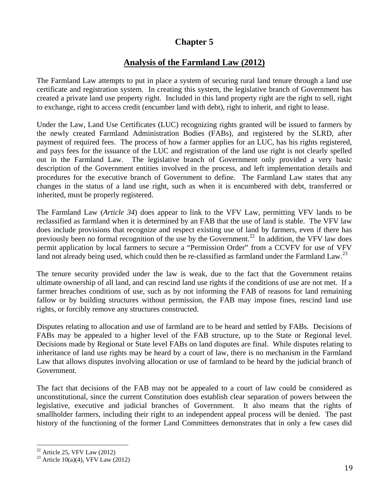# **Analysis of the Farmland Law (2012)**

The Farmland Law attempts to put in place a system of securing rural land tenure through a land use certificate and registration system. In creating this system, the legislative branch of Government has created a private land use property right. Included in this land property right are the right to sell, right to exchange, right to access credit (encumber land with debt), right to inherit, and right to lease.

Under the Law, Land Use Certificates (LUC) recognizing rights granted will be issued to farmers by the newly created Farmland Administration Bodies (FABs), and registered by the SLRD, after payment of required fees. The process of how a farmer applies for an LUC, has his rights registered, and pays fees for the issuance of the LUC and registration of the land use right is not clearly spelled out in the Farmland Law. The legislative branch of Government only provided a very basic description of the Government entities involved in the process, and left implementation details and procedures for the executive branch of Government to define. The Farmland Law states that any changes in the status of a land use right, such as when it is encumbered with debt, transferred or inherited, must be properly registered.

The Farmland Law (*Article 34*) does appear to link to the VFV Law, permitting VFV lands to be reclassified as farmland when it is determined by an FAB that the use of land is stable. The VFV law does include provisions that recognize and respect existing use of land by farmers, even if there has previously been no formal recognition of the use by the Government.<sup>22</sup> In addition, the VFV law does permit application by local farmers to secure a "Permission Order" from a CCVFV for use of VFV land not already being used, which could then be re-classified as farmland under the Farmland Law.<sup>23</sup>

The tenure security provided under the law is weak, due to the fact that the Government retains ultimate ownership of all land, and can rescind land use rights if the conditions of use are not met. If a farmer breaches conditions of use, such as by not informing the FAB of reasons for land remaining fallow or by building structures without permission, the FAB may impose fines, rescind land use rights, or forcibly remove any structures constructed.

Disputes relating to allocation and use of farmland are to be heard and settled by FABs. Decisions of FABs may be appealed to a higher level of the FAB structure, up to the State or Regional level. Decisions made by Regional or State level FABs on land disputes are final. While disputes relating to inheritance of land use rights may be heard by a court of law, there is no mechanism in the Farmland Law that allows disputes involving allocation or use of farmland to be heard by the judicial branch of Government.

The fact that decisions of the FAB may not be appealed to a court of law could be considered as unconstitutional, since the current Constitution does establish clear separation of powers between the legislative, executive and judicial branches of Government. It also means that the rights of smallholder farmers, including their right to an independent appeal process will be denied. The past history of the functioning of the former Land Committees demonstrates that in only a few cases did

 $\overline{a}$  $22$  Article 25, VFV Law (2012)

<sup>&</sup>lt;sup>23</sup> Article 10(a)(4), VFV Law (2012)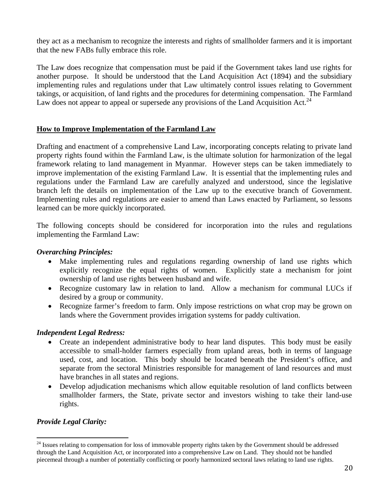they act as a mechanism to recognize the interests and rights of smallholder farmers and it is important that the new FABs fully embrace this role.

The Law does recognize that compensation must be paid if the Government takes land use rights for another purpose. It should be understood that the Land Acquisition Act (1894) and the subsidiary implementing rules and regulations under that Law ultimately control issues relating to Government takings, or acquisition, of land rights and the procedures for determining compensation. The Farmland Law does not appear to appeal or supersede any provisions of the Land Acquisition Act.<sup>24</sup>

#### **How to Improve Implementation of the Farmland Law**

Drafting and enactment of a comprehensive Land Law, incorporating concepts relating to private land property rights found within the Farmland Law, is the ultimate solution for harmonization of the legal framework relating to land management in Myanmar. However steps can be taken immediately to improve implementation of the existing Farmland Law. It is essential that the implementing rules and regulations under the Farmland Law are carefully analyzed and understood, since the legislative branch left the details on implementation of the Law up to the executive branch of Government. Implementing rules and regulations are easier to amend than Laws enacted by Parliament, so lessons learned can be more quickly incorporated.

The following concepts should be considered for incorporation into the rules and regulations implementing the Farmland Law:

#### *Overarching Principles:*

- Make implementing rules and regulations regarding ownership of land use rights which explicitly recognize the equal rights of women. Explicitly state a mechanism for joint ownership of land use rights between husband and wife.
- Recognize customary law in relation to land. Allow a mechanism for communal LUCs if desired by a group or community.
- Recognize farmer's freedom to farm. Only impose restrictions on what crop may be grown on lands where the Government provides irrigation systems for paddy cultivation.

#### *Independent Legal Redress:*

- Create an independent administrative body to hear land disputes. This body must be easily accessible to small-holder farmers especially from upland areas, both in terms of language used, cost, and location. This body should be located beneath the President's office, and separate from the sectoral Ministries responsible for management of land resources and must have branches in all states and regions.
- Develop adjudication mechanisms which allow equitable resolution of land conflicts between smallholder farmers, the State, private sector and investors wishing to take their land-use rights.

#### *Provide Legal Clarity:*

<sup>&</sup>lt;sup>24</sup> Issues relating to compensation for loss of immovable property rights taken by the Government should be addressed through the Land Acquisition Act, or incorporated into a comprehensive Law on Land. They should not be handled piecemeal through a number of potentially conflicting or poorly harmonized sectoral laws relating to land use rights.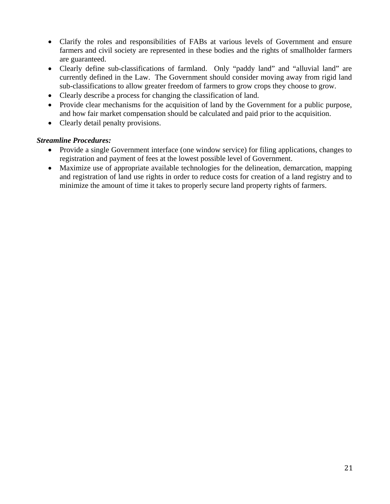- Clarify the roles and responsibilities of FABs at various levels of Government and ensure farmers and civil society are represented in these bodies and the rights of smallholder farmers are guaranteed.
- Clearly define sub-classifications of farmland. Only "paddy land" and "alluvial land" are currently defined in the Law. The Government should consider moving away from rigid land sub-classifications to allow greater freedom of farmers to grow crops they choose to grow.
- Clearly describe a process for changing the classification of land.
- Provide clear mechanisms for the acquisition of land by the Government for a public purpose, and how fair market compensation should be calculated and paid prior to the acquisition.
- Clearly detail penalty provisions.

#### *Streamline Procedures:*

- Provide a single Government interface (one window service) for filing applications, changes to registration and payment of fees at the lowest possible level of Government.
- Maximize use of appropriate available technologies for the delineation, demarcation, mapping and registration of land use rights in order to reduce costs for creation of a land registry and to minimize the amount of time it takes to properly secure land property rights of farmers.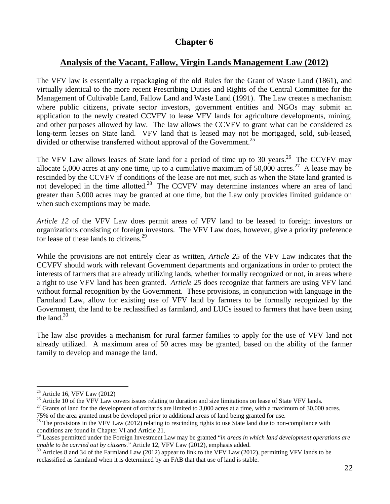# **Analysis of the Vacant, Fallow, Virgin Lands Management Law (2012)**

The VFV law is essentially a repackaging of the old Rules for the Grant of Waste Land (1861), and virtually identical to the more recent Prescribing Duties and Rights of the Central Committee for the Management of Cultivable Land, Fallow Land and Waste Land (1991). The Law creates a mechanism where public citizens, private sector investors, government entities and NGOs may submit an application to the newly created CCVFV to lease VFV lands for agriculture developments, mining, and other purposes allowed by law. The law allows the CCVFV to grant what can be considered as long-term leases on State land. VFV land that is leased may not be mortgaged, sold, sub-leased, divided or otherwise transferred without approval of the Government.<sup>25</sup>

The VFV Law allows leases of State land for a period of time up to 30 years.<sup>26</sup> The CCVFV may allocate 5,000 acres at any one time, up to a cumulative maximum of 50,000 acres.<sup>27</sup> A lease may be rescinded by the CCVFV if conditions of the lease are not met, such as when the State land granted is not developed in the time allotted.<sup>28</sup> The CCVFV may determine instances where an area of land greater than 5,000 acres may be granted at one time, but the Law only provides limited guidance on when such exemptions may be made.

*Article 12* of the VFV Law does permit areas of VFV land to be leased to foreign investors or organizations consisting of foreign investors. The VFV Law does, however, give a priority preference for lease of these lands to citizens.<sup>29</sup>

While the provisions are not entirely clear as written, *Article 25* of the VFV Law indicates that the CCVFV should work with relevant Government departments and organizations in order to protect the interests of farmers that are already utilizing lands, whether formally recognized or not, in areas where a right to use VFV land has been granted. *Article 25* does recognize that farmers are using VFV land without formal recognition by the Government. These provisions, in conjunction with language in the Farmland Law, allow for existing use of VFV land by farmers to be formally recognized by the Government, the land to be reclassified as farmland, and LUCs issued to farmers that have been using the land. $30<sup>30</sup>$ 

The law also provides a mechanism for rural farmer families to apply for the use of VFV land not already utilized. A maximum area of 50 acres may be granted, based on the ability of the farmer family to develop and manage the land.

 $\overline{a}$  $25$  Article 16, VFV Law (2012)

<sup>&</sup>lt;sup>26</sup> Article 10 of the VFV Law covers issues relating to duration and size limitations on lease of State VFV lands.<br><sup>27</sup> Grants of land for the development of orchards are limited to 3,000 acres at a time, with a maximum

<sup>75%</sup> of the area granted must be developed prior to additional areas of land being granted for use.  $^{28}$  The provisions in the VFV Law (2012) relating to rescinding rights to use State land due to non-compliance with conditions are found in Chapter VI and Article 21.

<sup>29</sup> Leases permitted under the Foreign Investment Law may be granted "*in areas in which land development operations are unable to be carried out by citizens.*" Article 12, VFV Law (2012), emphasis added.<br><sup>30</sup> Articles 8 and 34 of the Farmland Law (2012) appear to link to the VFV Law (2012), permitting VFV lands to be

reclassified as farmland when it is determined by an FAB that that use of land is stable.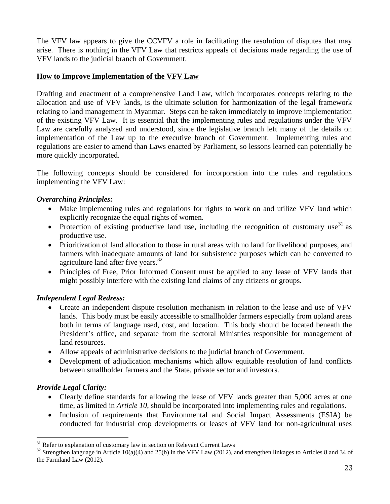The VFV law appears to give the CCVFV a role in facilitating the resolution of disputes that may arise. There is nothing in the VFV Law that restricts appeals of decisions made regarding the use of VFV lands to the judicial branch of Government.

#### **How to Improve Implementation of the VFV Law**

Drafting and enactment of a comprehensive Land Law, which incorporates concepts relating to the allocation and use of VFV lands, is the ultimate solution for harmonization of the legal framework relating to land management in Myanmar. Steps can be taken immediately to improve implementation of the existing VFV Law. It is essential that the implementing rules and regulations under the VFV Law are carefully analyzed and understood, since the legislative branch left many of the details on implementation of the Law up to the executive branch of Government. Implementing rules and regulations are easier to amend than Laws enacted by Parliament, so lessons learned can potentially be more quickly incorporated.

The following concepts should be considered for incorporation into the rules and regulations implementing the VFV Law:

#### *Overarching Principles:*

- Make implementing rules and regulations for rights to work on and utilize VFV land which explicitly recognize the equal rights of women.
- Protection of existing productive land use, including the recognition of customary use  $31$  as productive use.
- Prioritization of land allocation to those in rural areas with no land for livelihood purposes, and farmers with inadequate amounts of land for subsistence purposes which can be converted to agriculture land after five years. $32$
- Principles of Free, Prior Informed Consent must be applied to any lease of VFV lands that might possibly interfere with the existing land claims of any citizens or groups.

#### *Independent Legal Redress:*

- Create an independent dispute resolution mechanism in relation to the lease and use of VFV lands. This body must be easily accessible to smallholder farmers especially from upland areas both in terms of language used, cost, and location. This body should be located beneath the President's office, and separate from the sectoral Ministries responsible for management of land resources.
- Allow appeals of administrative decisions to the judicial branch of Government.
- Development of adjudication mechanisms which allow equitable resolution of land conflicts between smallholder farmers and the State, private sector and investors.

#### *Provide Legal Clarity:*

- Clearly define standards for allowing the lease of VFV lands greater than 5,000 acres at one time, as limited in *Article 10*, should be incorporated into implementing rules and regulations.
- Inclusion of requirements that Environmental and Social Impact Assessments (ESIA) be conducted for industrial crop developments or leases of VFV land for non-agricultural uses

 $31$  Refer to explanation of customary law in section on Relevant Current Laws

<sup>&</sup>lt;sup>32</sup> Strengthen language in Article 10(a)(4) and 25(b) in the VFV Law (2012), and strengthen linkages to Articles 8 and 34 of the Farmland Law (2012).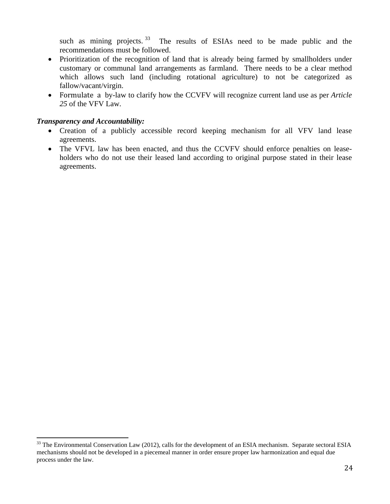such as mining projects.<sup>33</sup> The results of ESIAs need to be made public and the recommendations must be followed.

- Prioritization of the recognition of land that is already being farmed by smallholders under customary or communal land arrangements as farmland. There needs to be a clear method which allows such land (including rotational agriculture) to not be categorized as fallow/vacant/virgin.
- Formulate a by-law to clarify how the CCVFV will recognize current land use as per *Article 25* of the VFV Law.

#### *Transparency and Accountability:*

- Creation of a publicly accessible record keeping mechanism for all VFV land lease agreements.
- The VFVL law has been enacted, and thus the CCVFV should enforce penalties on leaseholders who do not use their leased land according to original purpose stated in their lease agreements.

<sup>&</sup>lt;sup>33</sup> The Environmental Conservation Law (2012), calls for the development of an ESIA mechanism. Separate sectoral ESIA mechanisms should not be developed in a piecemeal manner in order ensure proper law harmonization and equal due process under the law.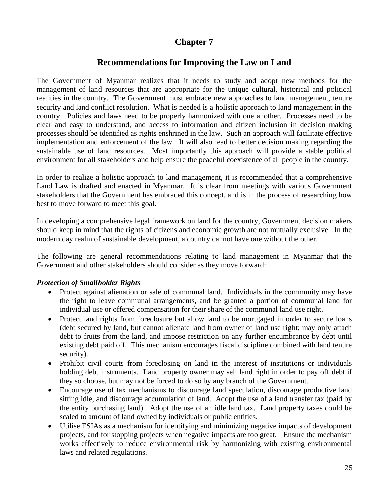# **Recommendations for Improving the Law on Land**

The Government of Myanmar realizes that it needs to study and adopt new methods for the management of land resources that are appropriate for the unique cultural, historical and political realities in the country. The Government must embrace new approaches to land management, tenure security and land conflict resolution. What is needed is a holistic approach to land management in the country. Policies and laws need to be properly harmonized with one another. Processes need to be clear and easy to understand, and access to information and citizen inclusion in decision making processes should be identified as rights enshrined in the law. Such an approach will facilitate effective implementation and enforcement of the law. It will also lead to better decision making regarding the sustainable use of land resources. Most importantly this approach will provide a stable political environment for all stakeholders and help ensure the peaceful coexistence of all people in the country.

In order to realize a holistic approach to land management, it is recommended that a comprehensive Land Law is drafted and enacted in Myanmar. It is clear from meetings with various Government stakeholders that the Government has embraced this concept, and is in the process of researching how best to move forward to meet this goal.

In developing a comprehensive legal framework on land for the country, Government decision makers should keep in mind that the rights of citizens and economic growth are not mutually exclusive. In the modern day realm of sustainable development, a country cannot have one without the other.

The following are general recommendations relating to land management in Myanmar that the Government and other stakeholders should consider as they move forward:

#### *Protection of Smallholder Rights*

- Protect against alienation or sale of communal land. Individuals in the community may have the right to leave communal arrangements, and be granted a portion of communal land for individual use or offered compensation for their share of the communal land use right.
- Protect land rights from foreclosure but allow land to be mortgaged in order to secure loans (debt secured by land, but cannot alienate land from owner of land use right; may only attach debt to fruits from the land, and impose restriction on any further encumbrance by debt until existing debt paid off. This mechanism encourages fiscal discipline combined with land tenure security).
- Prohibit civil courts from foreclosing on land in the interest of institutions or individuals holding debt instruments. Land property owner may sell land right in order to pay off debt if they so choose, but may not be forced to do so by any branch of the Government.
- Encourage use of tax mechanisms to discourage land speculation, discourage productive land sitting idle, and discourage accumulation of land. Adopt the use of a land transfer tax (paid by the entity purchasing land). Adopt the use of an idle land tax. Land property taxes could be scaled to amount of land owned by individuals or public entities.
- Utilise ESIAs as a mechanism for identifying and minimizing negative impacts of development projects, and for stopping projects when negative impacts are too great. Ensure the mechanism works effectively to reduce environmental risk by harmonizing with existing environmental laws and related regulations.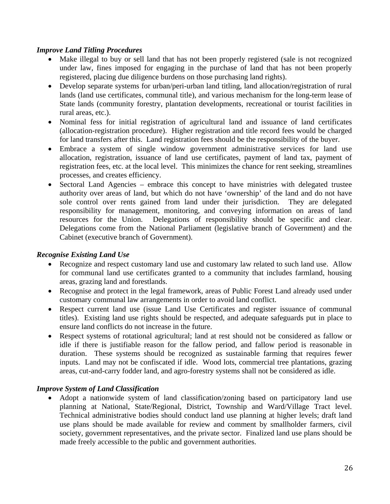#### *Improve Land Titling Procedures*

- Make illegal to buy or sell land that has not been properly registered (sale is not recognized under law, fines imposed for engaging in the purchase of land that has not been properly registered, placing due diligence burdens on those purchasing land rights).
- Develop separate systems for urban/peri-urban land titling, land allocation/registration of rural lands (land use certificates, communal title), and various mechanism for the long-term lease of State lands (community forestry, plantation developments, recreational or tourist facilities in rural areas, etc.).
- Nominal fess for initial registration of agricultural land and issuance of land certificates (allocation-registration procedure). Higher registration and title record fees would be charged for land transfers after this. Land registration fees should be the responsibility of the buyer.
- Embrace a system of single window government administrative services for land use allocation, registration, issuance of land use certificates, payment of land tax, payment of registration fees, etc. at the local level. This minimizes the chance for rent seeking, streamlines processes, and creates efficiency.
- Sectoral Land Agencies embrace this concept to have ministries with delegated trustee authority over areas of land, but which do not have 'ownership' of the land and do not have sole control over rents gained from land under their jurisdiction. They are delegated responsibility for management, monitoring, and conveying information on areas of land resources for the Union. Delegations of responsibility should be specific and clear. Delegations come from the National Parliament (legislative branch of Government) and the Cabinet (executive branch of Government).

#### *Recognise Existing Land Use*

- Recognize and respect customary land use and customary law related to such land use. Allow for communal land use certificates granted to a community that includes farmland, housing areas, grazing land and forestlands.
- Recognise and protect in the legal framework, areas of Public Forest Land already used under customary communal law arrangements in order to avoid land conflict.
- Respect current land use (issue Land Use Certificates and register issuance of communal titles). Existing land use rights should be respected, and adequate safeguards put in place to ensure land conflicts do not increase in the future.
- Respect systems of rotational agricultural; land at rest should not be considered as fallow or idle if there is justifiable reason for the fallow period, and fallow period is reasonable in duration. These systems should be recognized as sustainable farming that requires fewer inputs. Land may not be confiscated if idle. Wood lots, commercial tree plantations, grazing areas, cut-and-carry fodder land, and agro-forestry systems shall not be considered as idle.

#### *Improve System of Land Classification*

• Adopt a nationwide system of land classification/zoning based on participatory land use planning at National, State/Regional, District, Township and Ward/Village Tract level. Technical administrative bodies should conduct land use planning at higher levels; draft land use plans should be made available for review and comment by smallholder farmers, civil society, government representatives, and the private sector. Finalized land use plans should be made freely accessible to the public and government authorities.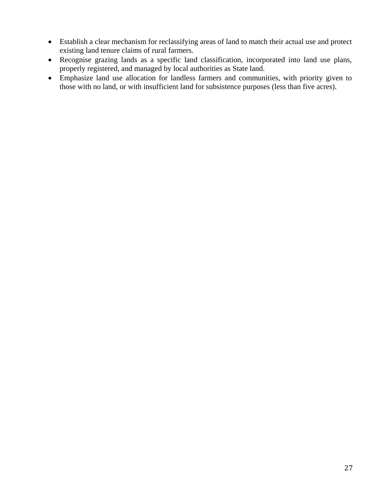- Establish a clear mechanism for reclassifying areas of land to match their actual use and protect existing land tenure claims of rural farmers.
- Recognise grazing lands as a specific land classification, incorporated into land use plans, properly registered, and managed by local authorities as State land.
- Emphasize land use allocation for landless farmers and communities, with priority given to those with no land, or with insufficient land for subsistence purposes (less than five acres).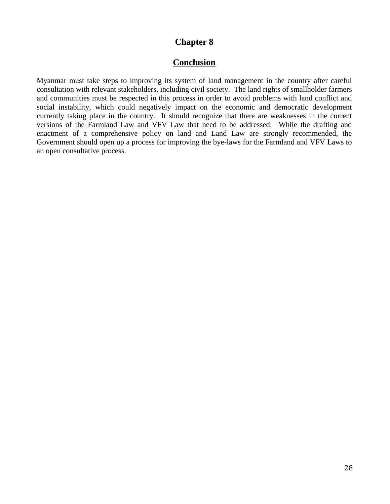#### **Conclusion**

Myanmar must take steps to improving its system of land management in the country after careful consultation with relevant stakeholders, including civil society. The land rights of smallholder farmers and communities must be respected in this process in order to avoid problems with land conflict and social instability, which could negatively impact on the economic and democratic development currently taking place in the country. It should recognize that there are weaknesses in the current versions of the Farmland Law and VFV Law that need to be addressed. While the drafting and enactment of a comprehensive policy on land and Land Law are strongly recommended, the Government should open up a process for improving the bye-laws for the Farmland and VFV Laws to an open consultative process.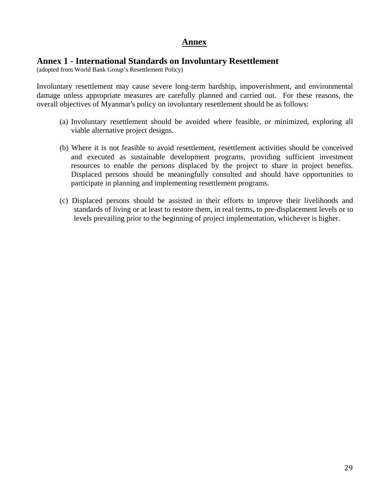### **Annex**

#### **Annex 1 - International Standards on Involuntary Resettlement**

(adopted from World Bank Group's Resettlement Policy)

Involuntary resettlement may cause severe long-term hardship, impoverishment, and environmental damage unless appropriate measures are carefully planned and carried out. For these reasons, the overall objectives of Myanmar's policy on involuntary resettlement should be as follows:

- (a) Involuntary resettlement should be avoided where feasible, or minimized, exploring all viable alternative project designs.
- (b) Where it is not feasible to avoid resettlement, resettlement activities should be conceived and executed as sustainable development programs, providing sufficient investment resources to enable the persons displaced by the project to share in project benefits. Displaced persons should be meaningfully consulted and should have opportunities to participate in planning and implementing resettlement programs.
- (c) Displaced persons should be assisted in their efforts to improve their livelihoods and standards of living or at least to restore them, in real terms, to pre-displacement levels or to levels prevailing prior to the beginning of project implementation, whichever is higher.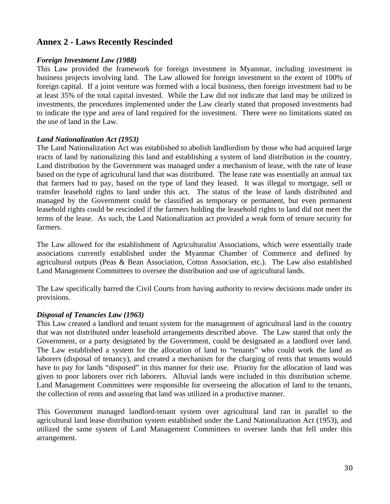# **Annex 2 - Laws Recently Rescinded**

#### *Foreign Investment Law (1988)*

This Law provided the framework for foreign investment in Myanmar, including investment in business projects involving land. The Law allowed for foreign investment to the extent of 100% of foreign capital. If a joint venture was formed with a local business, then foreign investment had to be at least 35% of the total capital invested. While the Law did not indicate that land may be utilized in investments, the procedures implemented under the Law clearly stated that proposed investments had to indicate the type and area of land required for the investment. There were no limitations stated on the use of land in the Law.

#### *Land Nationalization Act (1953)*

The Land Nationalization Act was established to abolish landlordism by those who had acquired large tracts of land by nationalizing this land and establishing a system of land distribution in the country. Land distribution by the Government was managed under a mechanism of lease, with the rate of lease based on the type of agricultural land that was distributed. The lease rate was essentially an annual tax that farmers had to pay, based on the type of land they leased. It was illegal to mortgage, sell or transfer leasehold rights to land under this act. The status of the lease of lands distributed and managed by the Government could be classified as temporary or permanent, but even permanent leasehold rights could be rescinded if the farmers holding the leasehold rights to land did not meet the terms of the lease. As such, the Land Nationalization act provided a weak form of tenure security for farmers.

The Law allowed for the establishment of Agriculturalist Associations, which were essentially trade associations currently established under the Myanmar Chamber of Commerce and defined by agricultural outputs (Peas & Bean Association, Cotton Association, etc.). The Law also established Land Management Committees to oversee the distribution and use of agricultural lands.

The Law specifically barred the Civil Courts from having authority to review decisions made under its provisions.

#### *Disposal of Tenancies Law (1963)*

This Law created a landlord and tenant system for the management of agricultural land in the country that was not distributed under leasehold arrangements described above. The Law stated that only the Government, or a party designated by the Government, could be designated as a landlord over land. The Law established a system for the allocation of land to "tenants" who could work the land as laborers (disposal of tenancy), and created a mechanism for the charging of rents that tenants would have to pay for lands "disposed" in this manner for their use. Priority for the allocation of land was given to poor laborers over rich laborers. Alluvial lands were included in this distribution scheme. Land Management Committees were responsible for overseeing the allocation of land to the tenants, the collection of rents and assuring that land was utilized in a productive manner.

This Government managed landlord-tenant system over agricultural land ran in parallel to the agricultural land lease distribution system established under the Land Nationalization Act (1953), and utilized the same system of Land Management Committees to oversee lands that fell under this arrangement.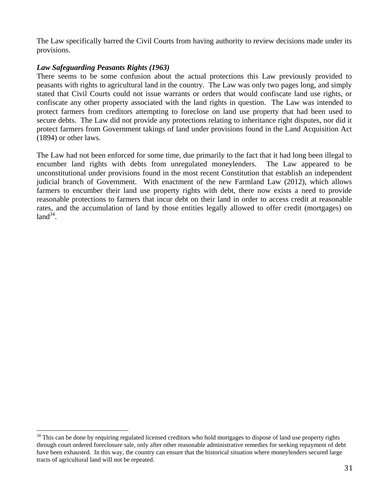The Law specifically barred the Civil Courts from having authority to review decisions made under its provisions.

#### *Law Safeguarding Peasants Rights (1963)*

 $\overline{a}$ 

There seems to be some confusion about the actual protections this Law previously provided to peasants with rights to agricultural land in the country. The Law was only two pages long, and simply stated that Civil Courts could not issue warrants or orders that would confiscate land use rights, or confiscate any other property associated with the land rights in question. The Law was intended to protect farmers from creditors attempting to foreclose on land use property that had been used to secure debts. The Law did not provide any protections relating to inheritance right disputes, nor did it protect farmers from Government takings of land under provisions found in the Land Acquisition Act (1894) or other laws.

The Law had not been enforced for some time, due primarily to the fact that it had long been illegal to encumber land rights with debts from unregulated moneylenders. The Law appeared to be unconstitutional under provisions found in the most recent Constitution that establish an independent judicial branch of Government. With enactment of the new Farmland Law (2012), which allows farmers to encumber their land use property rights with debt, there now exists a need to provide reasonable protections to farmers that incur debt on their land in order to access credit at reasonable rates, and the accumulation of land by those entities legally allowed to offer credit (mortgages) on  $land<sup>34</sup>$ .

<sup>&</sup>lt;sup>34</sup> This can be done by requiring regulated licensed creditors who hold mortgages to dispose of land use property rights through court ordered foreclosure sale, only after other reasonable administrative remedies for seeking repayment of debt have been exhausted. In this way, the country can ensure that the historical situation where moneylenders secured large tracts of agricultural land will not be repeated.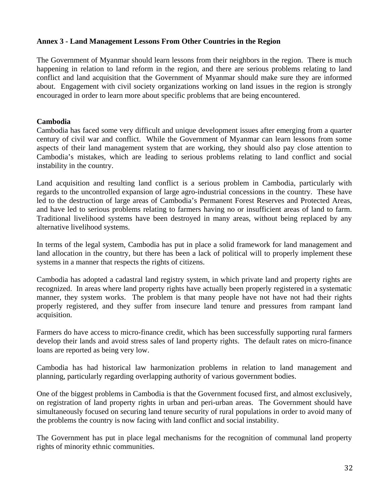#### **Annex 3 - Land Management Lessons From Other Countries in the Region**

The Government of Myanmar should learn lessons from their neighbors in the region. There is much happening in relation to land reform in the region, and there are serious problems relating to land conflict and land acquisition that the Government of Myanmar should make sure they are informed about. Engagement with civil society organizations working on land issues in the region is strongly encouraged in order to learn more about specific problems that are being encountered.

#### **Cambodia**

Cambodia has faced some very difficult and unique development issues after emerging from a quarter century of civil war and conflict. While the Government of Myanmar can learn lessons from some aspects of their land management system that are working, they should also pay close attention to Cambodia's mistakes, which are leading to serious problems relating to land conflict and social instability in the country.

Land acquisition and resulting land conflict is a serious problem in Cambodia, particularly with regards to the uncontrolled expansion of large agro-industrial concessions in the country. These have led to the destruction of large areas of Cambodia's Permanent Forest Reserves and Protected Areas, and have led to serious problems relating to farmers having no or insufficient areas of land to farm. Traditional livelihood systems have been destroyed in many areas, without being replaced by any alternative livelihood systems.

In terms of the legal system, Cambodia has put in place a solid framework for land management and land allocation in the country, but there has been a lack of political will to properly implement these systems in a manner that respects the rights of citizens.

Cambodia has adopted a cadastral land registry system, in which private land and property rights are recognized. In areas where land property rights have actually been properly registered in a systematic manner, they system works. The problem is that many people have not have not had their rights properly registered, and they suffer from insecure land tenure and pressures from rampant land acquisition.

Farmers do have access to micro-finance credit, which has been successfully supporting rural farmers develop their lands and avoid stress sales of land property rights. The default rates on micro-finance loans are reported as being very low.

Cambodia has had historical law harmonization problems in relation to land management and planning, particularly regarding overlapping authority of various government bodies.

One of the biggest problems in Cambodia is that the Government focused first, and almost exclusively, on registration of land property rights in urban and peri-urban areas. The Government should have simultaneously focused on securing land tenure security of rural populations in order to avoid many of the problems the country is now facing with land conflict and social instability.

The Government has put in place legal mechanisms for the recognition of communal land property rights of minority ethnic communities.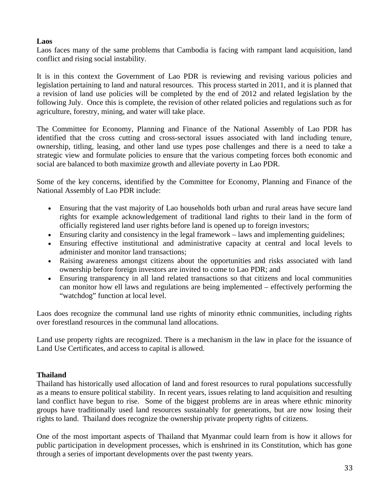#### **Laos**

Laos faces many of the same problems that Cambodia is facing with rampant land acquisition, land conflict and rising social instability.

It is in this context the Government of Lao PDR is reviewing and revising various policies and legislation pertaining to land and natural resources. This process started in 2011, and it is planned that a revision of land use policies will be completed by the end of 2012 and related legislation by the following July. Once this is complete, the revision of other related policies and regulations such as for agriculture, forestry, mining, and water will take place.

The Committee for Economy, Planning and Finance of the National Assembly of Lao PDR has identified that the cross cutting and cross-sectoral issues associated with land including tenure, ownership, titling, leasing, and other land use types pose challenges and there is a need to take a strategic view and formulate policies to ensure that the various competing forces both economic and social are balanced to both maximize growth and alleviate poverty in Lao PDR.

Some of the key concerns, identified by the Committee for Economy, Planning and Finance of the National Assembly of Lao PDR include:

- Ensuring that the vast majority of Lao households both urban and rural areas have secure land rights for example acknowledgement of traditional land rights to their land in the form of officially registered land user rights before land is opened up to foreign investors;
- Ensuring clarity and consistency in the legal framework laws and implementing guidelines;
- Ensuring effective institutional and administrative capacity at central and local levels to administer and monitor land transactions;
- Raising awareness amongst citizens about the opportunities and risks associated with land ownership before foreign investors are invited to come to Lao PDR; and
- Ensuring transparency in all land related transactions so that citizens and local communities can monitor how ell laws and regulations are being implemented – effectively performing the "watchdog" function at local level.

Laos does recognize the communal land use rights of minority ethnic communities, including rights over forestland resources in the communal land allocations.

Land use property rights are recognized. There is a mechanism in the law in place for the issuance of Land Use Certificates, and access to capital is allowed.

#### **Thailand**

Thailand has historically used allocation of land and forest resources to rural populations successfully as a means to ensure political stability. In recent years, issues relating to land acquisition and resulting land conflict have begun to rise. Some of the biggest problems are in areas where ethnic minority groups have traditionally used land resources sustainably for generations, but are now losing their rights to land. Thailand does recognize the ownership private property rights of citizens.

One of the most important aspects of Thailand that Myanmar could learn from is how it allows for public participation in development processes, which is enshrined in its Constitution, which has gone through a series of important developments over the past twenty years.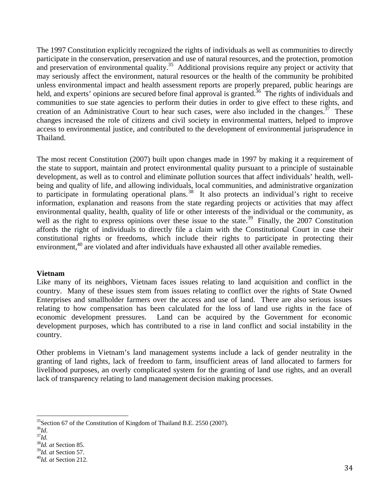The 1997 Constitution explicitly recognized the rights of individuals as well as communities to directly participate in the conservation, preservation and use of natural resources, and the protection, promotion and preservation of environmental quality.<sup>35</sup> Additional provisions require any project or activity that may seriously affect the environment, natural resources or the health of the community be prohibited unless environmental impact and health assessment reports are properly prepared, public hearings are held, and experts' opinions are secured before final approval is granted.<sup>36</sup> The rights of individuals and communities to sue state agencies to perform their duties in order to give effect to these rights, and creation of an Administrative Court to hear such cases, were also included in the changes.<sup>37</sup> These changes increased the role of citizens and civil society in environmental matters, helped to improve access to environmental justice, and contributed to the development of environmental jurisprudence in Thailand.

The most recent Constitution (2007) built upon changes made in 1997 by making it a requirement of the state to support, maintain and protect environmental quality pursuant to a principle of sustainable development, as well as to control and eliminate pollution sources that affect individuals' health, wellbeing and quality of life, and allowing individuals, local communities, and administrative organization to participate in formulating operational plans.<sup>38</sup> It also protects an individual's right to receive information, explanation and reasons from the state regarding projects or activities that may affect environmental quality, health, quality of life or other interests of the individual or the community, as well as the right to express opinions over these issue to the state.<sup>39</sup> Finally, the 2007 Constitution affords the right of individuals to directly file a claim with the Constitutional Court in case their constitutional rights or freedoms, which include their rights to participate in protecting their environment,<sup>40</sup> are violated and after individuals have exhausted all other available remedies.

#### **Vietnam**

Like many of its neighbors, Vietnam faces issues relating to land acquisition and conflict in the country. Many of these issues stem from issues relating to conflict over the rights of State Owned Enterprises and smallholder farmers over the access and use of land. There are also serious issues relating to how compensation has been calculated for the loss of land use rights in the face of economic development pressures. Land can be acquired by the Government for economic development purposes, which has contributed to a rise in land conflict and social instability in the country.

Other problems in Vietnam's land management systems include a lack of gender neutrality in the granting of land rights, lack of freedom to farm, insufficient areas of land allocated to farmers for livelihood purposes, an overly complicated system for the granting of land use rights, and an overall lack of transparency relating to land management decision making processes.

<sup>&</sup>lt;sup>35</sup>Section 67 of the Constitution of Kingdom of Thailand B.E. 2550 (2007).<br><sup>36</sup>Id.

 $37\overline{l}d$ .

<sup>&</sup>lt;sup>38</sup>*Id. at* Section 85.<br><sup>39</sup>*Id. at* Section 57.

<sup>39</sup>*Id. at* Section 57. 40*Id. at* Section 212.